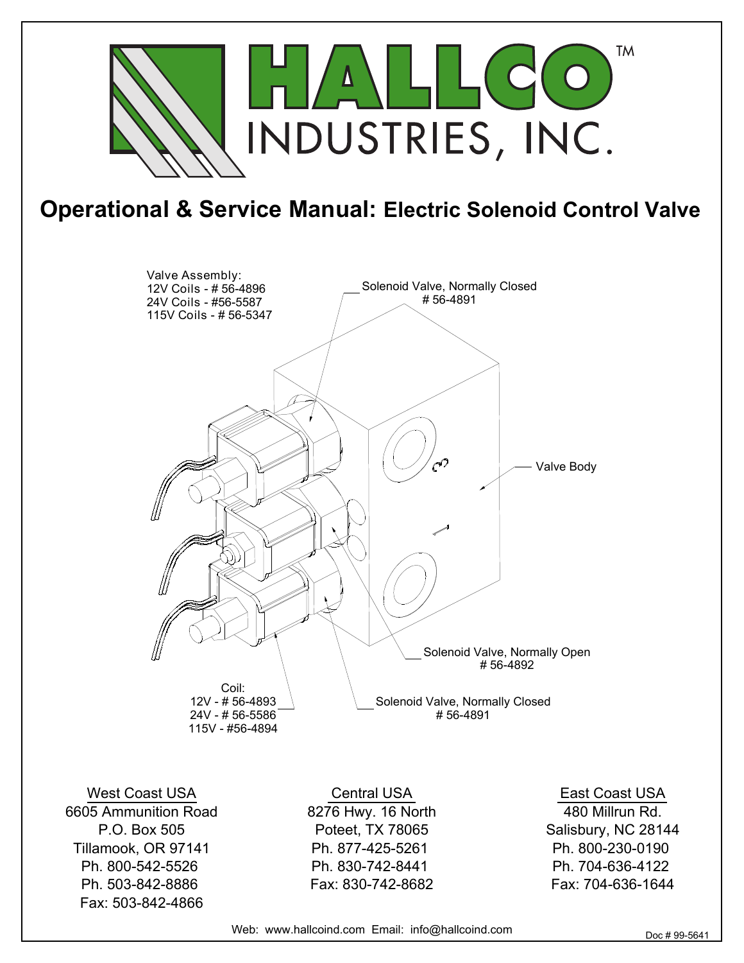

## **Operational & Service Manual: Electric Solenoid Control Valve**



West Coast USA 6605 Ammunition Road P.O. Box 505 Tillamook, OR 97141 Ph. 800-542-5526 Ph. 503-842-8886 Fax: 503-842-4866

Central USA 8276 Hwy. 16 North Poteet, TX 78065 Ph. 877-425-5261 Ph. 830-742-8441 Fax: 830-742-8682

East Coast USA 480 Millrun Rd. Salisbury, NC 28144 Ph. 800-230-0190 Ph. 704-636-4122 Fax: 704-636-1644

Web: www.hallcoind.com Email: info@hallcoind.com Doc # 99-5641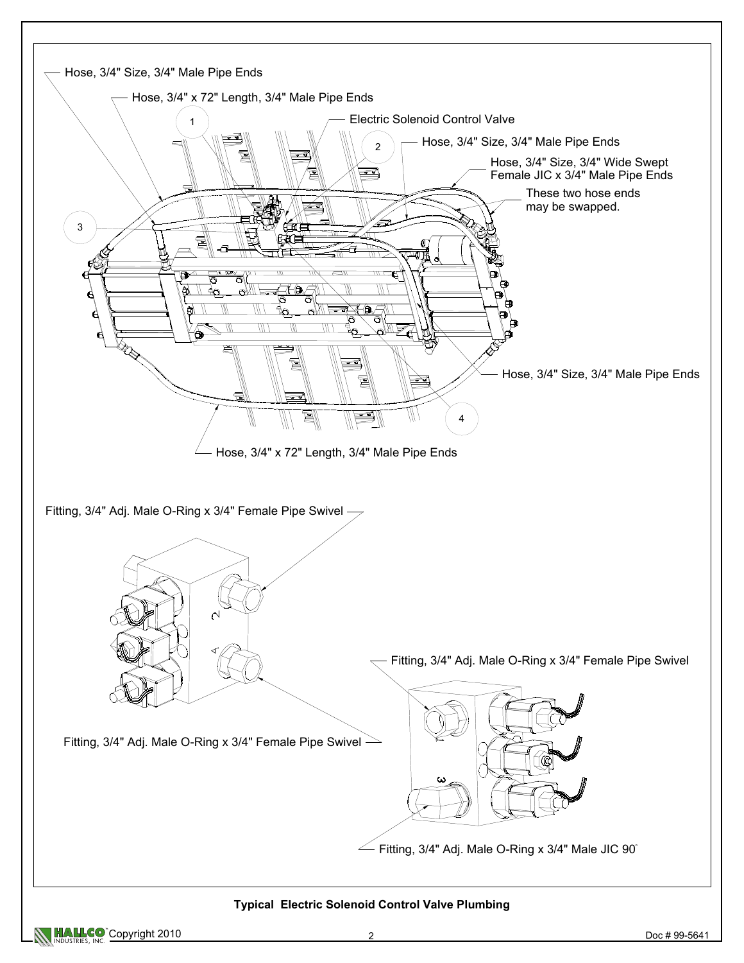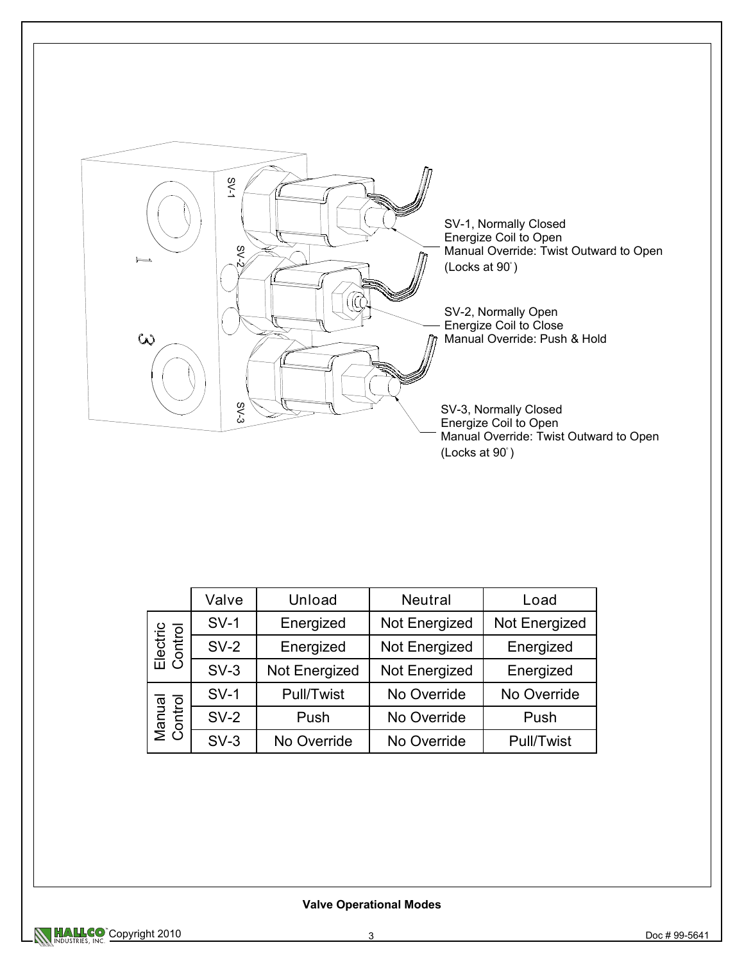

|                     | Valve  | Unload                     | <b>Neutral</b> | Load          |
|---------------------|--------|----------------------------|----------------|---------------|
| Electric<br>Control | $SV-1$ | Energized<br>Not Energized |                | Not Energized |
|                     | $SV-2$ | Energized<br>Not Energized |                | Energized     |
|                     | $SV-3$ | Not Energized              | Not Energized  | Energized     |
| Manual<br>Control   | $SV-1$ | Pull/Twist                 | No Override    | No Override   |
|                     | $SV-2$ | Push                       | No Override    | Push          |
|                     | $SV-3$ | No Override                | No Override    | Pull/Twist    |

## **Valve Operational Modes**